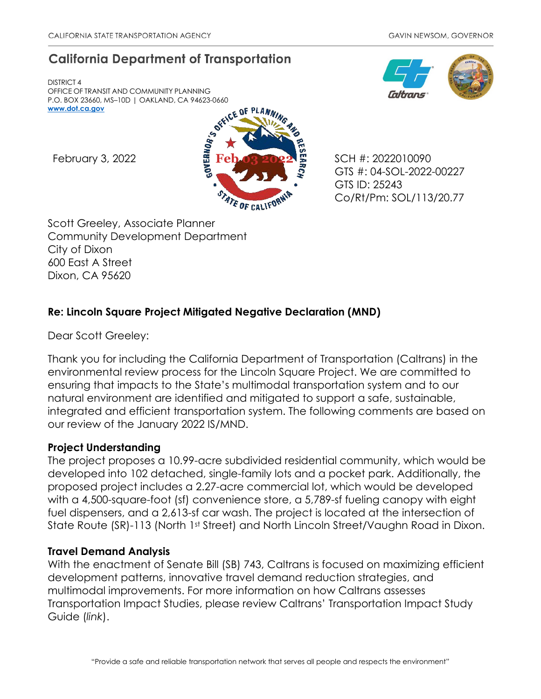# **California Department of Transportation**

DISTRICT 4 OFFICE OF TRANSIT AND COMMUNITY PLANNING P.O. BOX 23660, MS–10D | OAKLAND, CA 94623-0660 **[www.dot.ca.gov](http://www.dot.ca.gov/)**



GTS #: 04-SOL-2022-00227 GTS ID: 25243 Co/Rt/Pm: SOL/113/20.77

Scott Greeley, Associate Planner Community Development Department City of Dixon 600 East A Street Dixon, CA 95620

## **Re: Lincoln Square Project Mitigated Negative Declaration (MND)**

Dear Scott Greeley:

Thank you for including the California Department of Transportation (Caltrans) in the environmental review process for the Lincoln Square Project. We are committed to ensuring that impacts to the State's multimodal transportation system and to our natural environment are identified and mitigated to support a safe, sustainable, integrated and efficient transportation system. The following comments are based on our review of the January 2022 IS/MND.

## **Project Understanding**

The project proposes a 10.99-acre subdivided residential community, which would be developed into 102 detached, single-family lots and a pocket park. Additionally, the proposed project includes a 2.27-acre commercial lot, which would be developed with a 4,500-square-foot (sf) convenience store, a 5,789-sf fueling canopy with eight fuel dispensers, and a 2,613-sf car wash. The project is located at the intersection of State Route (SR)-113 (North 1st Street) and North Lincoln Street/Vaughn Road in Dixon.

### **Travel Demand Analysis**

With the enactment of Senate Bill (SB) 743, Caltrans is focused on maximizing efficient development patterns, innovative travel demand reduction strategies, and multimodal improvements. For more information on how Caltrans assesses Transportation Impact Studies, please review Caltrans' [Transportation Impact Study](https://dot.ca.gov/-/media/dot-media/programs/transportation-planning/documents/sb-743/2020-05-20-approved-vmt-focused-tisg-a11y.pdf)  [Guide \(](https://dot.ca.gov/-/media/dot-media/programs/transportation-planning/documents/sb-743/2020-05-20-approved-vmt-focused-tisg-a11y.pdf)*[link](https://dot.ca.gov/-/media/dot-media/programs/transportation-planning/documents/sb-743/2020-05-20-approved-vmt-focused-tisg-a11y.pdf)*[\).](https://dot.ca.gov/-/media/dot-media/programs/transportation-planning/documents/sb-743/2020-05-20-approved-vmt-focused-tisg-a11y.pdf)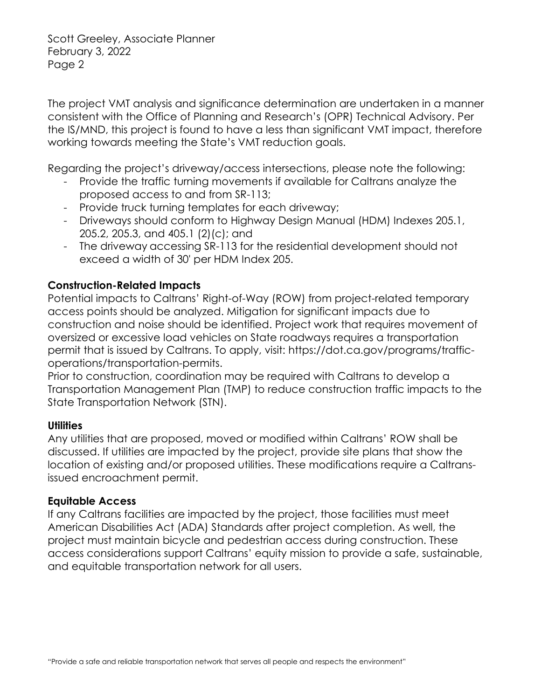Scott Greeley, Associate Planner February 3, 2022 Page 2

The project VMT analysis and significance determination are undertaken in a manner consistent with the Office of Planning and Research's (OPR) Technical Advisory. Per the IS/MND, this project is found to have a less than significant VMT impact, therefore working towards meeting the State's VMT reduction goals.

Regarding the project's driveway/access intersections, please note the following:

- Provide the traffic turning movements if available for Caltrans analyze the proposed access to and from SR-113;
- Provide truck turning templates for each driveway;
- Driveways should conform to Highway Design Manual (HDM) Indexes 205.1, 205.2, 205.3, and 405.1 (2)(c); and
- The driveway accessing SR-113 for the residential development should not exceed a width of 30' per HDM Index 205.

### **Construction-Related Impacts**

Potential impacts to Caltrans' Right-of-Way (ROW) from project-related temporary access points should be analyzed. Mitigation for significant impacts due to construction and noise should be identified. Project work that requires movement of oversized or excessive load vehicles on State roadways requires a transportation permit that is issued by Caltrans. To apply, visit: https://dot.ca.gov/programs/trafficoperations/transportation-permits.

Prior to construction, coordination may be required with Caltrans to develop a Transportation Management Plan (TMP) to reduce construction traffic impacts to the State Transportation Network (STN).

### **Utilities**

Any utilities that are proposed, moved or modified within Caltrans' ROW shall be discussed. If utilities are impacted by the project, provide site plans that show the location of existing and/or proposed utilities. These modifications require a Caltransissued encroachment permit.

#### **Equitable Access**

If any Caltrans facilities are impacted by the project, those facilities must meet American Disabilities Act (ADA) Standards after project completion. As well, the project must maintain bicycle and pedestrian access during construction. These access considerations support Caltrans' equity mission to provide a safe, sustainable, and equitable transportation network for all users.